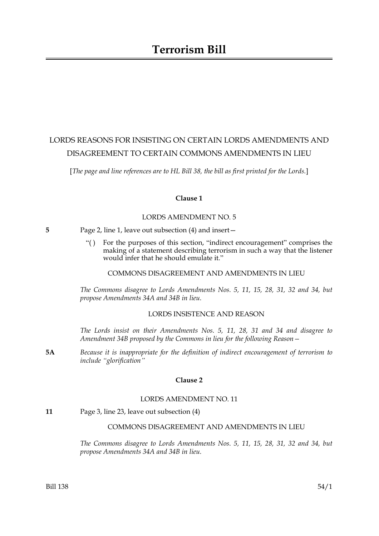## LORDS REASONS FOR INSISTING ON CERTAIN LORDS AMENDMENTS AND DISAGREEMENT TO CERTAIN COMMONS AMENDMENTS IN LIEU

[*The page and line references are to HL Bill 38, the bill as first printed for the Lords.*]

## **Clause 1**

## LORDS AMENDMENT NO. 5

- **5** Page 2, line 1, leave out subsection (4) and insert—
	- "( ) For the purposes of this section, "indirect encouragement" comprises the making of a statement describing terrorism in such a way that the listener would infer that he should emulate it."

COMMONS DISAGREEMENT AND AMENDMENTS IN LIEU

*The Commons disagree to Lords Amendments Nos. 5, 11, 15, 28, 31, 32 and 34, but propose Amendments 34A and 34B in lieu.*

## LORDS INSISTENCE AND REASON

*The Lords insist on their Amendments Nos. 5, 11, 28, 31 and 34 and disagree to Amendment 34B proposed by the Commons in lieu for the following Reason—*

**5A** *Because it is inappropriate for the definition of indirect encouragement of terrorism to include "glorification"*

## **Clause 2**

### LORDS AMENDMENT NO. 11

**11** Page 3, line 23, leave out subsection (4)

## COMMONS DISAGREEMENT AND AMENDMENTS IN LIEU

*The Commons disagree to Lords Amendments Nos. 5, 11, 15, 28, 31, 32 and 34, but propose Amendments 34A and 34B in lieu.*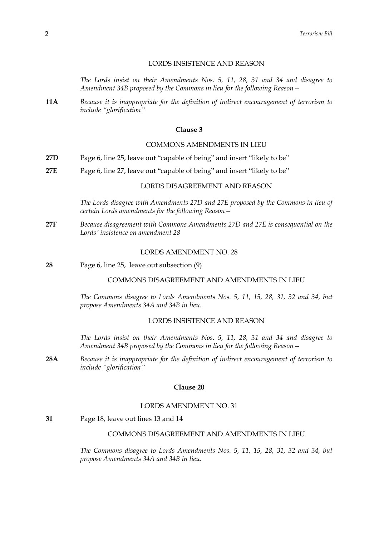## LORDS INSISTENCE AND REASON

*The Lords insist on their Amendments Nos. 5, 11, 28, 31 and 34 and disagree to Amendment 34B proposed by the Commons in lieu for the following Reason—*

**11A** *Because it is inappropriate for the definition of indirect encouragement of terrorism to include "glorification"*

## **Clause 3**

## COMMONS AMENDMENTS IN LIEU

- **27D** Page 6, line 25, leave out "capable of being" and insert "likely to be"
- **27E** Page 6, line 27, leave out "capable of being" and insert "likely to be"

## LORDS DISAGREEMENT AND REASON

*The Lords disagree with Amendments 27D and 27E proposed by the Commons in lieu of certain Lords amendments for the following Reason—*

**27F** *Because disagreement with Commons Amendments 27D and 27E is consequential on the Lords' insistence on amendment 28*

#### LORDS AMENDMENT NO. 28

**28** Page 6, line 25, leave out subsection (9)

#### COMMONS DISAGREEMENT AND AMENDMENTS IN LIEU

*The Commons disagree to Lords Amendments Nos. 5, 11, 15, 28, 31, 32 and 34, but propose Amendments 34A and 34B in lieu.*

#### LORDS INSISTENCE AND REASON

*The Lords insist on their Amendments Nos. 5, 11, 28, 31 and 34 and disagree to Amendment 34B proposed by the Commons in lieu for the following Reason—*

**28A** *Because it is inappropriate for the definition of indirect encouragement of terrorism to include "glorification"*

#### **Clause 20**

## LORDS AMENDMENT NO. 31

**31** Page 18, leave out lines 13 and 14

#### COMMONS DISAGREEMENT AND AMENDMENTS IN LIEU

*The Commons disagree to Lords Amendments Nos. 5, 11, 15, 28, 31, 32 and 34, but propose Amendments 34A and 34B in lieu.*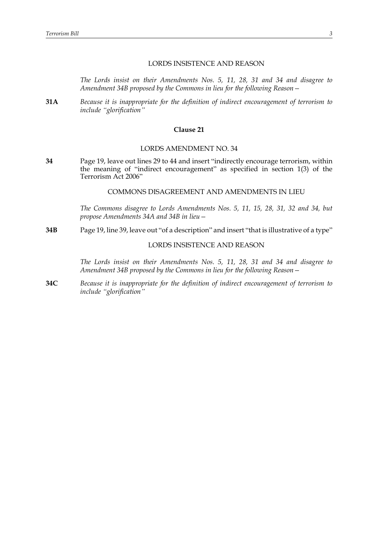## LORDS INSISTENCE AND REASON

*The Lords insist on their Amendments Nos. 5, 11, 28, 31 and 34 and disagree to Amendment 34B proposed by the Commons in lieu for the following Reason—*

**31A** *Because it is inappropriate for the definition of indirect encouragement of terrorism to include "glorification"*

## **Clause 21**

#### LORDS AMENDMENT NO. 34

**34** Page 19, leave out lines 29 to 44 and insert "indirectly encourage terrorism, within the meaning of "indirect encouragement" as specified in section 1(3) of the Terrorism Act 2006"

## COMMONS DISAGREEMENT AND AMENDMENTS IN LIEU

*The Commons disagree to Lords Amendments Nos. 5, 11, 15, 28, 31, 32 and 34, but propose Amendments 34A and 34B in lieu—*

**34B** Page 19, line 39, leave out "of a description" and insert "that is illustrative of a type"

## LORDS INSISTENCE AND REASON

*The Lords insist on their Amendments Nos. 5, 11, 28, 31 and 34 and disagree to Amendment 34B proposed by the Commons in lieu for the following Reason—*

**34C** *Because it is inappropriate for the definition of indirect encouragement of terrorism to include "glorification"*